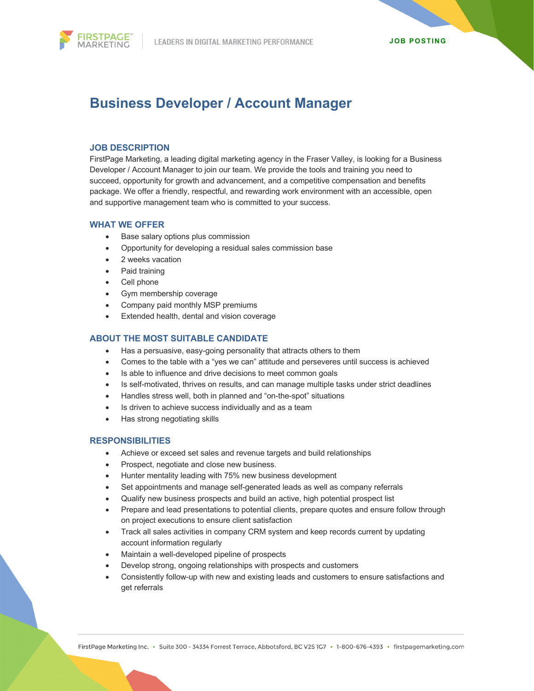

# **Business Developer / Account Manager**

## **JOB DESCRIPTION**

FirstPage Marketing, a leading digital marketing agency in the Fraser Valley, is looking for a Business Developer / Account Manager to join our team. We provide the tools and training you need to succeed, opportunity for growth and advancement, and a competitive compensation and benefits package. We offer a friendly, respectful, and rewarding work environment with an accessible, open and supportive management team who is committed to your success.

## **WHAT WE OFFER**

- Base salary options plus commission
- Opportunity for developing a residual sales commission base
- 2 weeks vacation
- Paid training
- Cell phone
- Gym membership coverage
- Company paid monthly MSP premiums
- Extended health, dental and vision coverage

## **ABOUT THE MOST SUITABLE CANDIDATE**

- Has a persuasive, easy-going personality that attracts others to them
- Comes to the table with a "yes we can" attitude and perseveres until success is achieved
- Is able to influence and drive decisions to meet common goals
- Is self-motivated, thrives on results, and can manage multiple tasks under strict deadlines
- Handles stress well, both in planned and "on-the-spot" situations
- Is driven to achieve success individually and as a team
- Has strong negotiating skills

## **RESPONSIBILITIES**

- Achieve or exceed set sales and revenue targets and build relationships
- Prospect, negotiate and close new business.
- Hunter mentality leading with 75% new business development
- Set appointments and manage self-generated leads as well as company referrals
- Qualify new business prospects and build an active, high potential prospect list
- Prepare and lead presentations to potential clients, prepare quotes and ensure follow through on project executions to ensure client satisfaction
- Track all sales activities in company CRM system and keep records current by updating account information regularly
- Maintain a well-developed pipeline of prospects
- Develop strong, ongoing relationships with prospects and customers
- Consistently follow-up with new and existing leads and customers to ensure satisfactions and get referrals